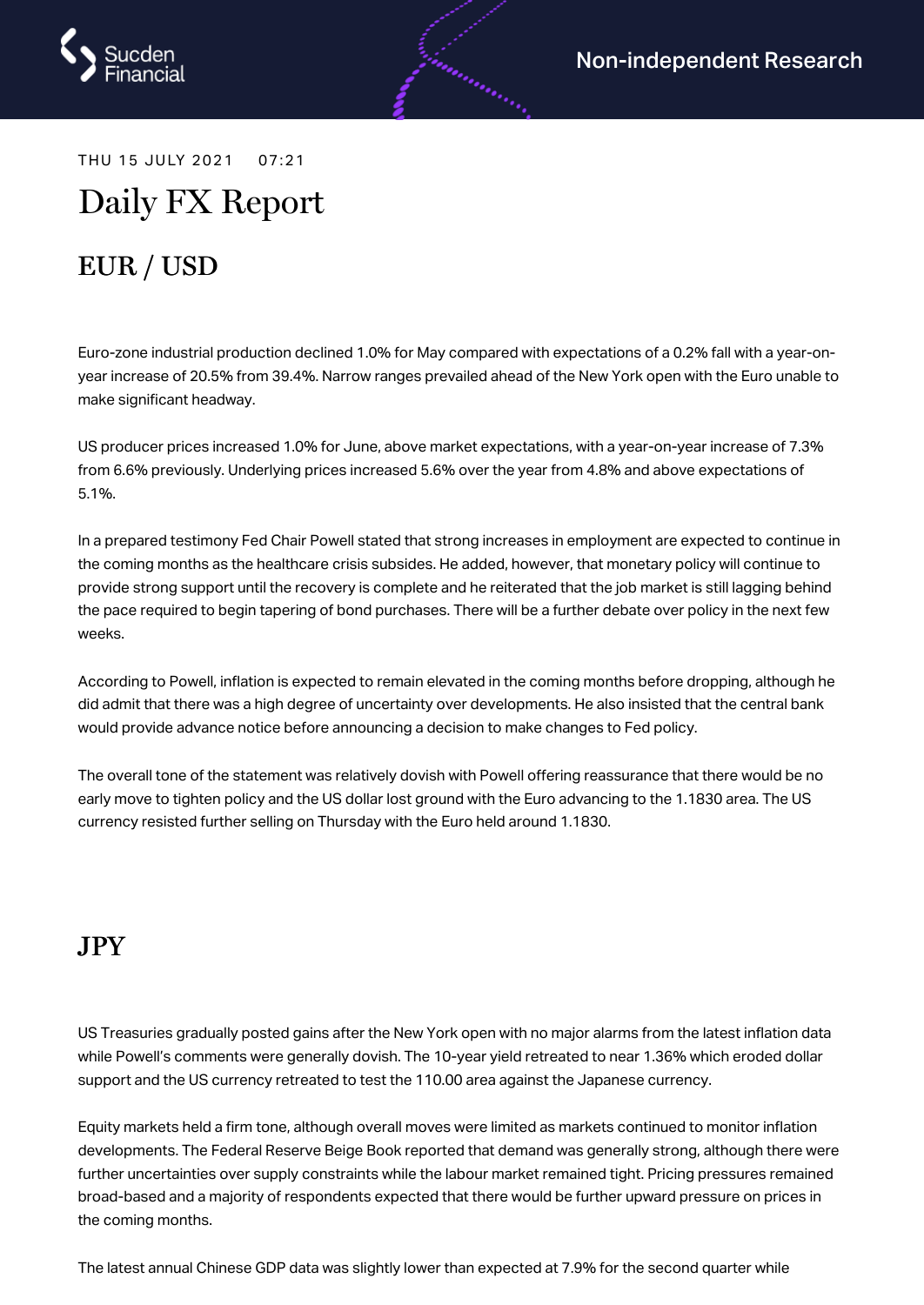

THU 15 JULY 2021 07:21

# Daily FX Report

# EUR / USD

Euro-zone industrial production declined 1.0% for May compared with expectations of a 0.2% fall with a year-onyear increase of 20.5% from 39.4%. Narrow ranges prevailed ahead of the New York open with the Euro unable to make significant headway.

androning (

US producer prices increased 1.0% for June, above market expectations, with a year-on-year increase of 7.3% from 6.6% previously. Underlying prices increased 5.6% over the year from 4.8% and above expectations of 5.1%.

In a prepared testimony Fed Chair Powell stated that strong increases in employment are expected to continue in the coming months as the healthcare crisis subsides. He added, however, that monetary policy will continue to provide strong support until the recovery is complete and he reiterated that the job market is still lagging behind the pace required to begin tapering of bond purchases. There will be a further debate over policy in the next few weeks.

According to Powell, inflation is expected to remain elevated in the coming months before dropping, although he did admit that there was a high degree of uncertainty over developments. He also insisted that the central bank would provide advance notice before announcing a decision to make changes to Fed policy.

The overall tone of the statement was relatively dovish with Powell offering reassurance that there would be no early move to tighten policy and the US dollar lost ground with the Euro advancing to the 1.1830 area. The US currency resisted further selling on Thursday with the Euro held around 1.1830.

#### JPY

US Treasuries gradually posted gains after the New York open with no major alarms from the latest inflation data while Powell's comments were generally dovish. The 10-year yield retreated to near 1.36% which eroded dollar support and the US currency retreated to test the 110.00 area against the Japanese currency.

Equity markets held a firm tone, although overall moves were limited as markets continued to monitor inflation developments. The Federal Reserve Beige Book reported that demand was generally strong, although there were further uncertainties over supply constraints while the labour market remained tight. Pricing pressures remained broad-based and a majority of respondents expected that there would be further upward pressure on prices in the coming months.

The latest annual Chinese GDP data was slightly lower than expected at 7.9% for the second quarter while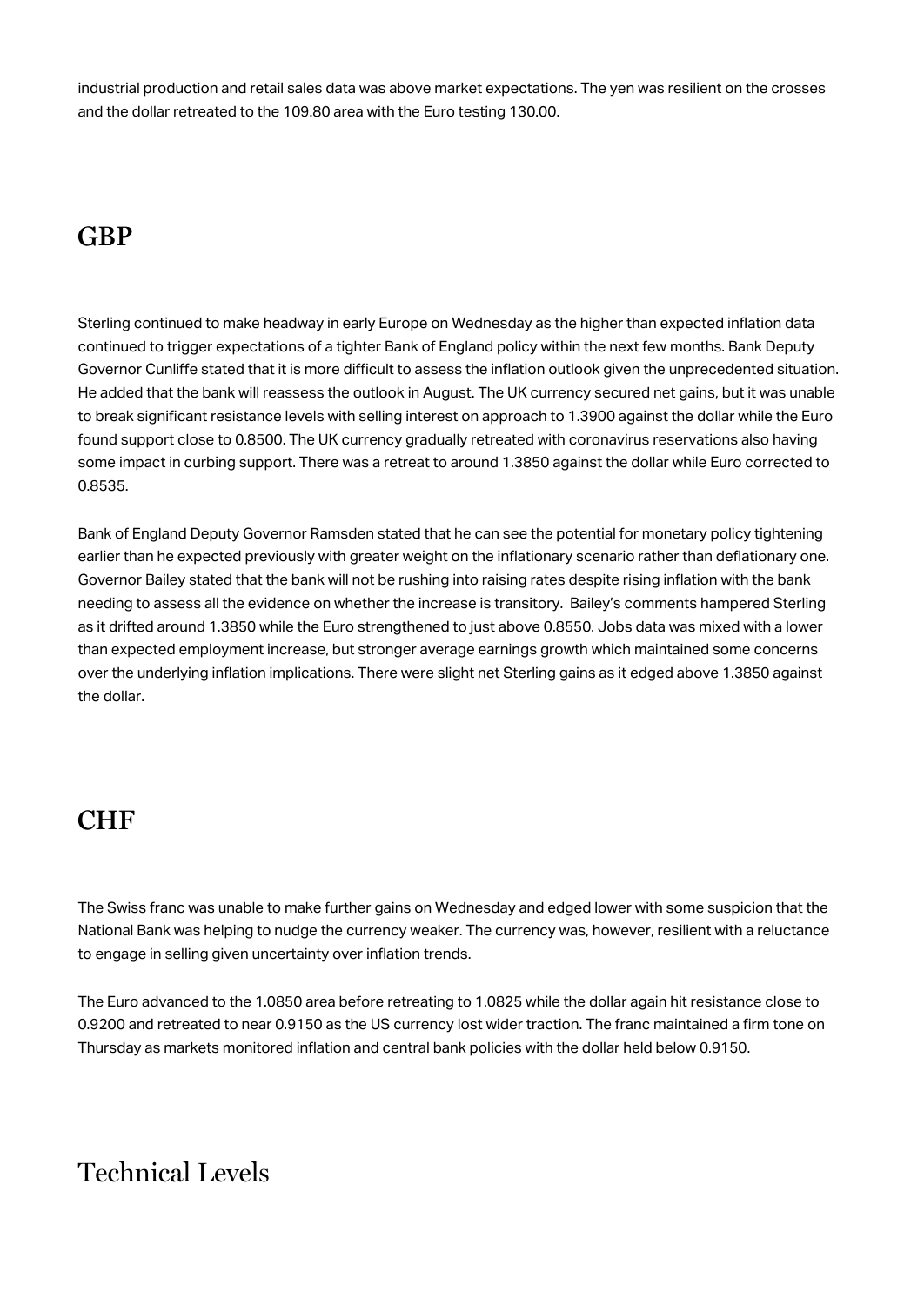industrial production and retail sales data was above market expectations. The yen was resilient on the crosses and the dollar retreated to the 109.80 area with the Euro testing 130.00.

### **GBP**

Sterling continued to make headway in early Europe on Wednesday as the higher than expected inflation data continued to trigger expectations of a tighter Bank of England policy within the next few months. Bank Deputy Governor Cunliffe stated that it is more difficult to assess the inflation outlook given the unprecedented situation. He added that the bank will reassess the outlook in August. The UK currency secured net gains, but it was unable to break significant resistance levels with selling interest on approach to 1.3900 against the dollar while the Euro found support close to 0.8500. The UK currency gradually retreated with coronavirus reservations also having some impact in curbing support. There was a retreat to around 1.3850 against the dollar while Euro corrected to 0.8535.

Bank of England Deputy Governor Ramsden stated that he can see the potential for monetary policy tightening earlier than he expected previously with greater weight on the inflationary scenario rather than deflationary one. Governor Bailey stated that the bank will not be rushing into raising rates despite rising inflation with the bank needing to assess all the evidence on whether the increase is transitory. Bailey's comments hampered Sterling as it drifted around 1.3850 while the Euro strengthened to just above 0.8550. Jobs data was mixed with a lower than expected employment increase, but stronger average earnings growth which maintained some concerns over the underlying inflation implications. There were slight net Sterling gains as it edged above 1.3850 against the dollar.

#### CHF

The Swiss franc was unable to make further gains on Wednesday and edged lower with some suspicion that the National Bank was helping to nudge the currency weaker. The currency was, however, resilient with a reluctance to engage in selling given uncertainty over inflation trends.

The Euro advanced to the 1.0850 area before retreating to 1.0825 while the dollar again hit resistance close to 0.9200 and retreated to near 0.9150 as the US currency lost wider traction. The franc maintained a firm tone on Thursday as markets monitored inflation and central bank policies with the dollar held below 0.9150.

## Technical Levels